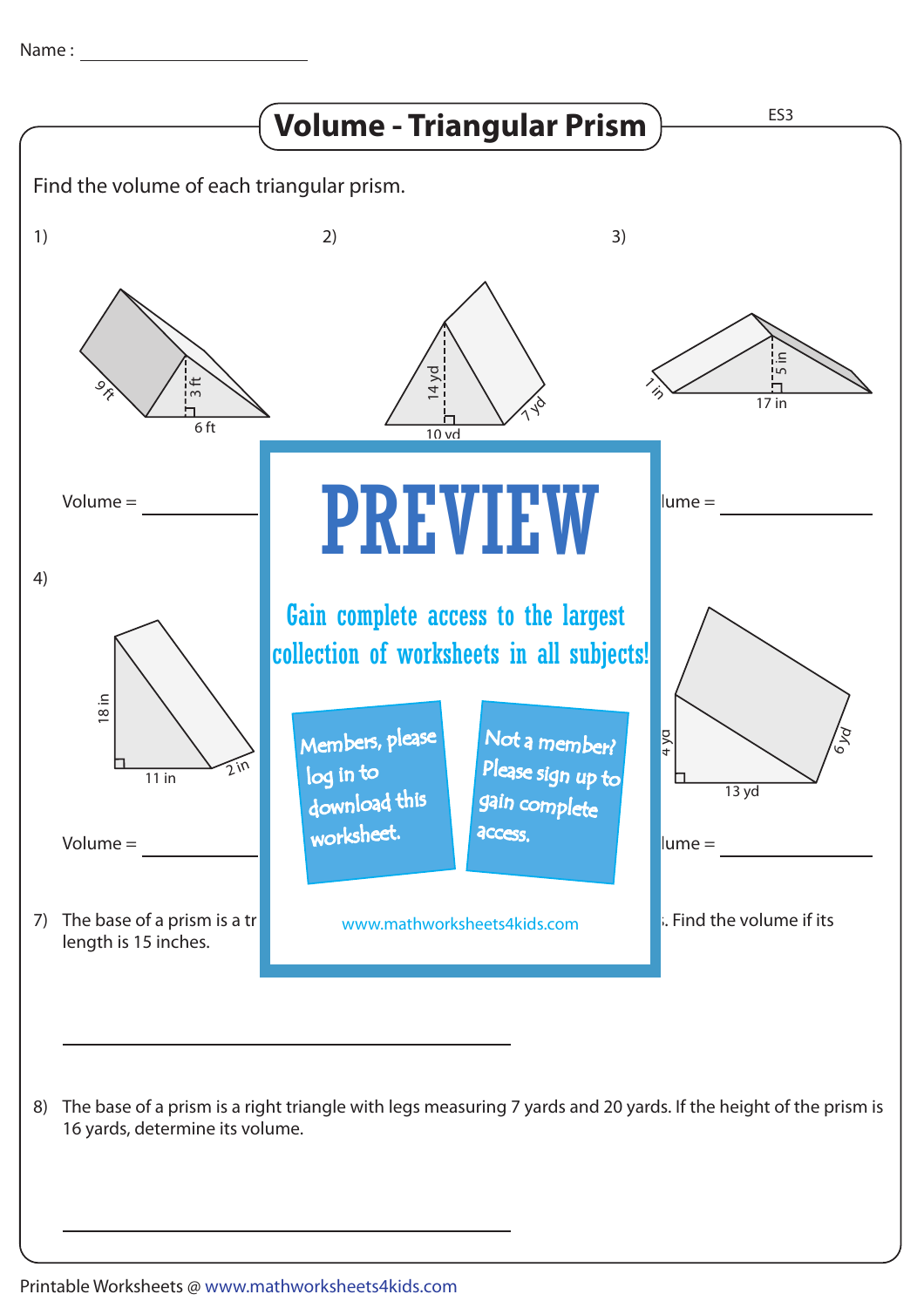